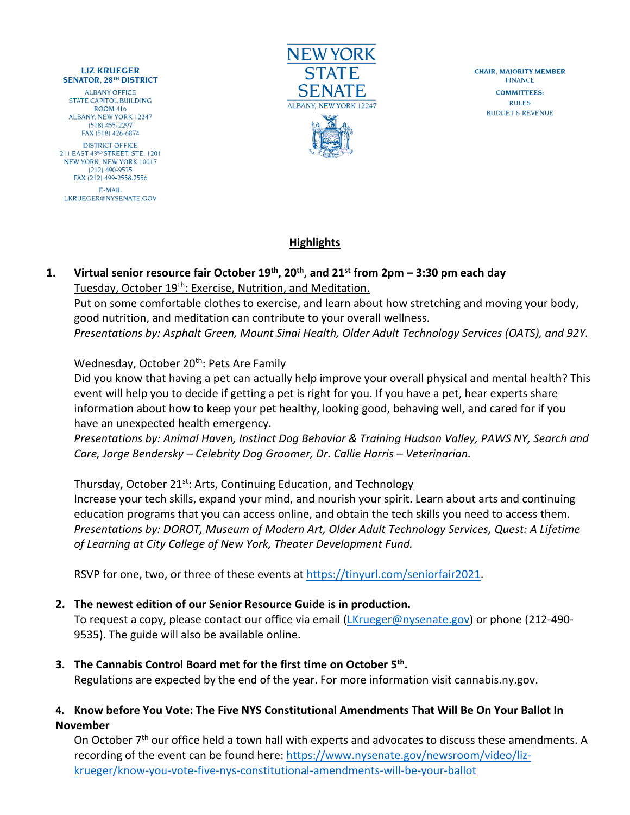#### **LIZ KRUEGER SENATOR, 28TH DISTRICT**

**ALBANY OFFICE** STATE CAPITOL BUILDING **ROOM 416 ALBANY, NEW YORK 12247**  $(518)$  455-2297 FAX (518) 426-6874 **DISTRICT OFFICE** 211 EAST 43RD STREET, STE. 1201 NEW YORK, NEW YORK 10017  $(212)$  490-9535 FAX (212) 499-2558.2556 E-MAIL LKRUEGER@NYSENATE.GOV



**CHAIR, MAJORITY MEMBER FINANCE COMMITTEES: RULES BUDGET & REVENUE** 

# **Highlights**

#### **1. Virtual senior resource fair October 19th, 20th, and 21st from 2pm – 3:30 pm each day** Tuesday, October 19<sup>th</sup>: Exercise, Nutrition, and Meditation.

Put on some comfortable clothes to exercise, and learn about how stretching and moving your body, good nutrition, and meditation can contribute to your overall wellness. *Presentations by: Asphalt Green, Mount Sinai Health, Older Adult Technology Services (OATS), and 92Y.*

#### Wednesday, October 20<sup>th</sup>: Pets Are Family

Did you know that having a pet can actually help improve your overall physical and mental health? This event will help you to decide if getting a pet is right for you. If you have a pet, hear experts share information about how to keep your pet healthy, looking good, behaving well, and cared for if you have an unexpected health emergency.

*Presentations by: Animal Haven, Instinct Dog Behavior & Training Hudson Valley, PAWS NY, Search and Care, Jorge Bendersky – Celebrity Dog Groomer, Dr. Callie Harris – Veterinarian.*

#### Thursday, October 21<sup>st</sup>: Arts, Continuing Education, and Technology

Increase your tech skills, expand your mind, and nourish your spirit. Learn about arts and continuing education programs that you can access online, and obtain the tech skills you need to access them. *Presentations by: DOROT, Museum of Modern Art, Older Adult Technology Services, Quest: A Lifetime of Learning at City College of New York, Theater Development Fund.*

RSVP for one, two, or three of these events at [https://tinyurl.com/seniorfair2021.](https://tinyurl.com/seniorfair2021)

## **2. The newest edition of our Senior Resource Guide is in production.**

To request a copy, please contact our office via email [\(LKrueger@nysenate.gov\)](mailto:LKrueger@nysenate.gov) or phone (212-490-9535). The guide will also be available online.

**3. The Cannabis Control Board met for the first time on October 5 th .**

Regulations are expected by the end of the year. For more information visit cannabis.ny.gov.

### **4. Know before You Vote: The Five NYS Constitutional Amendments That Will Be On Your Ballot In November**

On October 7<sup>th</sup> our office held a town hall with experts and advocates to discuss these amendments. A recording of the event can be found here: [https://www.nysenate.gov/newsroom/video/liz](https://www.nysenate.gov/newsroom/video/liz-krueger/know-you-vote-five-nys-constitutional-amendments-will-be-your-ballot)[krueger/know-you-vote-five-nys-constitutional-amendments-will-be-your-ballot](https://www.nysenate.gov/newsroom/video/liz-krueger/know-you-vote-five-nys-constitutional-amendments-will-be-your-ballot)